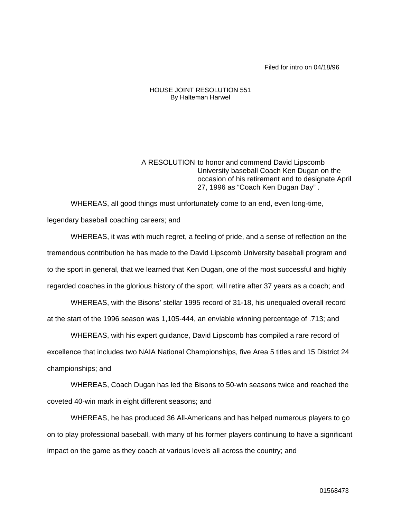Filed for intro on 04/18/96

## HOUSE JOINT RESOLUTION 551 By Halteman Harwel

A RESOLUTION to honor and commend David Lipscomb University baseball Coach Ken Dugan on the occasion of his retirement and to designate April 27, 1996 as "Coach Ken Dugan Day" .

WHEREAS, all good things must unfortunately come to an end, even long-time, legendary baseball coaching careers; and

WHEREAS, it was with much regret, a feeling of pride, and a sense of reflection on the tremendous contribution he has made to the David Lipscomb University baseball program and to the sport in general, that we learned that Ken Dugan, one of the most successful and highly regarded coaches in the glorious history of the sport, will retire after 37 years as a coach; and

WHEREAS, with the Bisons' stellar 1995 record of 31-18, his unequaled overall record at the start of the 1996 season was 1,105-444, an enviable winning percentage of .713; and

WHEREAS, with his expert guidance, David Lipscomb has compiled a rare record of excellence that includes two NAIA National Championships, five Area 5 titles and 15 District 24 championships; and

WHEREAS, Coach Dugan has led the Bisons to 50-win seasons twice and reached the coveted 40-win mark in eight different seasons; and

WHEREAS, he has produced 36 All-Americans and has helped numerous players to go on to play professional baseball, with many of his former players continuing to have a significant impact on the game as they coach at various levels all across the country; and